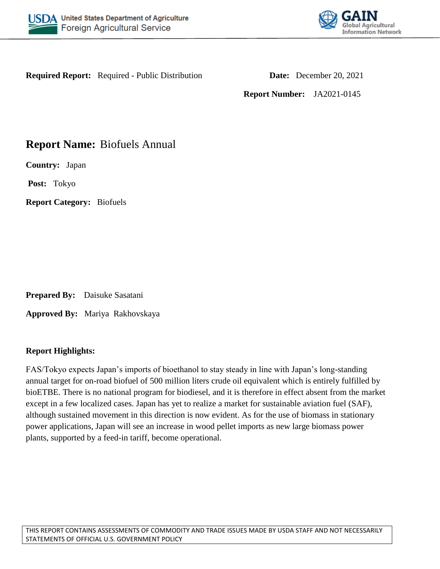



**Required Report:** Required - Public Distribution **Date:** December 20, 2021

**Report Number:** JA2021-0145

# **Report Name:** Biofuels Annual

**Country:** Japan

**Post:** Tokyo

**Report Category:** Biofuels

**Prepared By:** Daisuke Sasatani

**Approved By:** Mariya Rakhovskaya

## **Report Highlights:**

FAS/Tokyo expects Japan's imports of bioethanol to stay steady in line with Japan's long-standing annual target for on-road biofuel of 500 million liters crude oil equivalent which is entirely fulfilled by bioETBE. There is no national program for biodiesel, and it is therefore in effect absent from the market except in a few localized cases. Japan has yet to realize a market for sustainable aviation fuel (SAF), although sustained movement in this direction is now evident. As for the use of biomass in stationary power applications, Japan will see an increase in wood pellet imports as new large biomass power plants, supported by a feed-in tariff, become operational.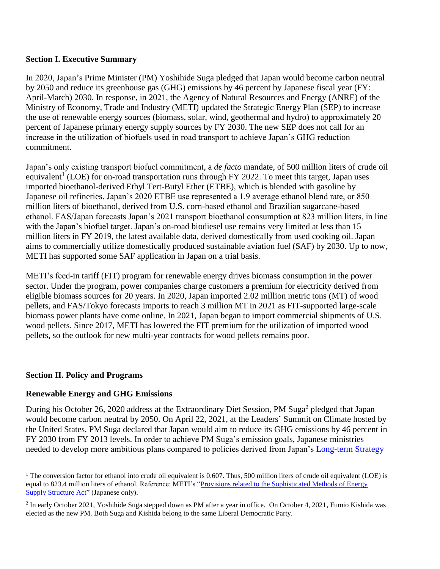## **Section I. Executive Summary**

In 2020, Japan's Prime Minister (PM) Yoshihide Suga pledged that Japan would become carbon neutral by 2050 and reduce its greenhouse gas (GHG) emissions by 46 percent by Japanese fiscal year (FY: April-March) 2030. In response, in 2021, the Agency of Natural Resources and Energy (ANRE) of the Ministry of Economy, Trade and Industry (METI) updated the Strategic Energy Plan (SEP) to increase the use of renewable energy sources (biomass, solar, wind, geothermal and hydro) to approximately 20 percent of Japanese primary energy supply sources by FY 2030. The new SEP does not call for an increase in the utilization of biofuels used in road transport to achieve Japan's GHG reduction commitment.

Japan's only existing transport biofuel commitment, a *de facto* mandate, of 500 million liters of crude oil equivalent<sup>1</sup> (LOE) for on-road transportation runs through FY 2022. To meet this target, Japan uses imported bioethanol-derived Ethyl Tert-Butyl Ether (ETBE), which is blended with gasoline by Japanese oil refineries. Japan's 2020 ETBE use represented a 1.9 average ethanol blend rate, or 850 million liters of bioethanol, derived from U.S. corn-based ethanol and Brazilian sugarcane-based ethanol. FAS/Japan forecasts Japan's 2021 transport bioethanol consumption at 823 million liters, in line with the Japan's biofuel target. Japan's on-road biodiesel use remains very limited at less than 15 million liters in FY 2019, the latest available data, derived domestically from used cooking oil. Japan aims to commercially utilize domestically produced sustainable aviation fuel (SAF) by 2030. Up to now, METI has supported some SAF application in Japan on a trial basis.

METI's feed-in tariff (FIT) program for renewable energy drives biomass consumption in the power sector. Under the program, power companies charge customers a premium for electricity derived from eligible biomass sources for 20 years. In 2020, Japan imported 2.02 million metric tons (MT) of wood pellets, and FAS/Tokyo forecasts imports to reach 3 million MT in 2021 as FIT-supported large-scale biomass power plants have come online. In 2021, Japan began to import commercial shipments of U.S. wood pellets. Since 2017, METI has lowered the FIT premium for the utilization of imported wood pellets, so the outlook for new multi-year contracts for wood pellets remains poor.

#### **Section II. Policy and Programs**

l

## **Renewable Energy and GHG Emissions**

During his October 26, 2020 address at the Extraordinary Diet Session, PM Suga<sup>2</sup> pledged that Japan would become carbon neutral by 2050. On April 22, 2021, at the Leaders' Summit on Climate hosted by the United States, PM Suga declared that Japan would aim to reduce its GHG emissions by 46 percent in FY 2030 from FY 2013 levels. In order to achieve PM Suga's emission goals, Japanese ministries needed to develop more ambitious plans compared to policies derived from Japan's [Long-term Strategy](https://unfccc.int/sites/default/files/resource/The%20Long-term%20Strategy%20under%20the%20Paris%20Agreement.pdf) 

<sup>&</sup>lt;sup>1</sup> The conversion factor for ethanol into crude oil equivalent is 0.607. Thus, 500 million liters of crude oil equivalent (LOE) is equal to 823.4 million liters of ethanol. Reference: METI's ["Provisions related to the Sophisticated Methods of Energy](http://www.enecho.meti.go.jp/notice/topics/017/)  [Supply Structure Act"](http://www.enecho.meti.go.jp/notice/topics/017/) (Japanese only).

<sup>&</sup>lt;sup>2</sup> In early October 2021, Yoshihide Suga stepped down as PM after a year in office. On October 4, 2021, Fumio Kishida was elected as the new PM. Both Suga and Kishida belong to the same Liberal Democratic Party.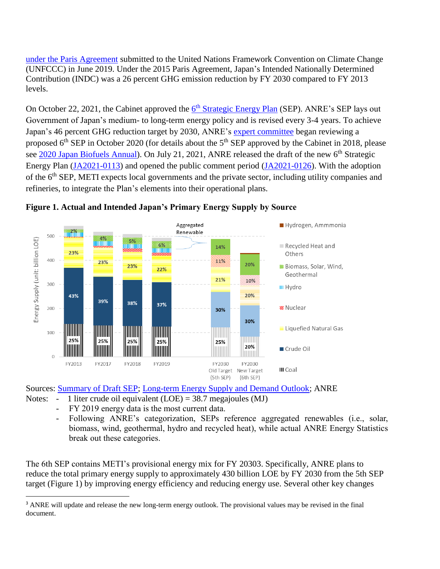[under the Paris Agreement](https://unfccc.int/sites/default/files/resource/The%20Long-term%20Strategy%20under%20the%20Paris%20Agreement.pdf) submitted to the United Nations Framework Convention on Climate Change (UNFCCC) in June 2019. Under the 2015 Paris Agreement, Japan's Intended Nationally Determined Contribution (INDC) was a 26 percent GHG emission reduction by FY 2030 compared to FY 2013 levels.

On October 22, 2021, the Cabinet approved the **6<sup>th</sup> [Strategic Energy Plan](https://www.enecho.meti.go.jp/category/others/basic_plan/)** (SEP). ANRE's SEP lays out Government of Japan's medium- to long-term energy policy and is revised every 3-4 years. To achieve Japan's 46 percent GHG reduction target by 2030, ANRE's [expert committee](https://www.enecho.meti.go.jp/committee/council/basic_policy_subcommittee/) began reviewing a proposed 6<sup>th</sup> SEP in October 2020 (for details about the 5<sup>th</sup> SEP approved by the Cabinet in 2018, please see [2020 Japan Biofuels Annual\)](https://www.fas.usda.gov/data/japan-biofuels-annual-4). On July 21, 2021, ANRE released the draft of the new 6<sup>th</sup> Strategic Energy Plan [\(JA2021-0113\)](https://www.fas.usda.gov/data/japan-japan-publishes-draft-6th-strategic-energy-plan) and opened the public comment period [\(JA2021-0126\)](https://www.fas.usda.gov/data/japan-japan-opens-public-comment-period-its-proposed-6th-strategic-energy-plan). With the adoption of the 6th SEP, METI expects local governments and the private sector, including utility companies and refineries, to integrate the Plan's elements into their operational plans.



#### **Figure 1. Actual and Intended Japan's Primary Energy Supply by Source**

Sources: [Summary of Draft SEP;](https://www.enecho.meti.go.jp/committee/council/basic_policy_subcommittee/2021/046/046_004.pdf) [Long-term Energy Supply and Demand Outlook;](https://www.meti.go.jp/english/press/2015/pdf/0716_01a.pdf) ANRE

- Notes: 1 liter crude oil equivalent  $(LOE) = 38.7$  megajoules  $(MJ)$ 
	- FY 2019 energy data is the most current data.

l

- Following ANRE's categorization, SEPs reference aggregated renewables (i.e., solar, biomass, wind, geothermal, hydro and recycled heat), while actual ANRE Energy Statistics break out these categories.

The 6th SEP contains METI's [provisional energy mix for FY 20303](https://www.enecho.meti.go.jp/committee/council/basic_policy_subcommittee/2021/046/046_004.pdf). Specifically, ANRE plans to reduce the total primary energy supply to approximately 430 billion LOE by FY 2030 from the 5th SEP target (Figure 1) by improving energy efficiency and reducing energy use. Several other key changes

<sup>&</sup>lt;sup>3</sup> ANRE will update and release the new long-term energy outlook. The provisional values may be revised in the final document.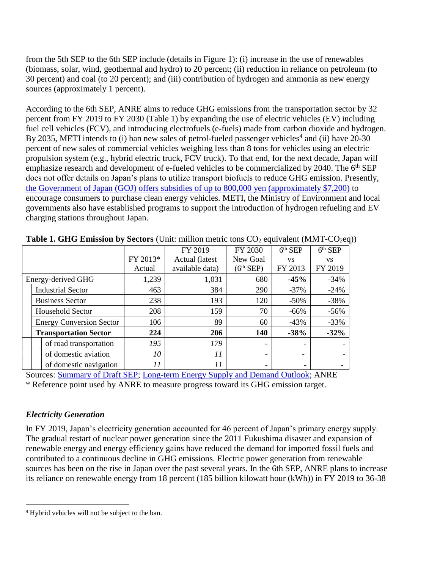from the 5th SEP to the 6th SEP include (details in Figure 1): (i) increase in the use of renewables (biomass, solar, wind, geothermal and hydro) to 20 percent; (ii) reduction in reliance on petroleum (to 30 percent) and coal (to 20 percent); and (iii) contribution of hydrogen and ammonia as new energy sources (approximately 1 percent).

According to the 6th SEP, ANRE aims to reduce GHG emissions from the transportation sector by 32 percent from FY 2019 to FY 2030 (Table 1) by expanding the use of electric vehicles (EV) including fuel cell vehicles (FCV), and introducing electrofuels (e-fuels) made from carbon dioxide and hydrogen. By 2035, METI intends to (i) ban new sales of petrol-fueled passenger vehicles<sup>4</sup> and (ii) have 20-30 percent of new sales of commercial vehicles weighing less than 8 tons for vehicles using an electric propulsion system (e.g., hybrid electric truck, FCV truck). To that end, for the next decade, Japan will emphasize research and development of e-fueled vehicles to be commercialized by 2040. The 6<sup>th</sup> SEP does not offer details on Japan's plans to utilize transport biofuels to reduce GHG emission. Presently, [the Government of Japan \(GOJ\) offers subsidies of up to 800,000 yen \(approximately \\$7,200\)](https://www.trade.gov/market-intelligence/japan-transition-electric-vehicles#:~:text=The%20GOJ%20is%20offering%20to,is%20about%207%2C200%20US%20Dollars) to encourage consumers to purchase clean energy vehicles. METI, the Ministry of Environment and local governments also have established programs to support the introduction of hydrogen refueling and EV charging stations throughout Japan.

| <b>Twist Text Direction by Decrets</b> (Cinc minion metre cons $\sigma \sigma_L$ equivalent (mini- $\sigma \sigma_L$ ec |  |                                 |          |                                |                          |                                  |                                  |  |  |  |
|-------------------------------------------------------------------------------------------------------------------------|--|---------------------------------|----------|--------------------------------|--------------------------|----------------------------------|----------------------------------|--|--|--|
|                                                                                                                         |  |                                 |          | FY 2019                        | FY 2030                  | $\overline{6}$ <sup>th</sup> SEP | $\overline{6}$ <sup>th</sup> SEP |  |  |  |
|                                                                                                                         |  |                                 | FY 2013* | Actual (latest<br>New Goal     |                          | <b>VS</b>                        | <b>VS</b>                        |  |  |  |
|                                                                                                                         |  |                                 | Actual   | $(6th$ SEP)<br>available data) |                          | FY 2013                          | FY 2019                          |  |  |  |
| Energy-derived GHG                                                                                                      |  |                                 | 1,239    | 1,031<br>680                   |                          | $-45%$                           | $-34%$                           |  |  |  |
|                                                                                                                         |  | <b>Industrial Sector</b>        | 463      | 384                            | 290                      | $-37%$                           | $-24%$                           |  |  |  |
|                                                                                                                         |  | <b>Business Sector</b>          | 238      | 193                            | 120                      | $-50%$                           | $-38%$                           |  |  |  |
|                                                                                                                         |  | <b>Household Sector</b>         | 208      | 159                            | 70                       | $-66%$                           | $-56%$                           |  |  |  |
|                                                                                                                         |  | <b>Energy Conversion Sector</b> | 106      | 89                             | 60                       | $-43%$                           | $-33%$                           |  |  |  |
|                                                                                                                         |  | <b>Transportation Sector</b>    | 224      | 206                            | 140                      | $-38%$                           | $-32%$                           |  |  |  |
|                                                                                                                         |  | of road transportation          | 195      | 179                            | -                        |                                  |                                  |  |  |  |
|                                                                                                                         |  | of domestic aviation            | 10       | 11                             | $\overline{\phantom{0}}$ | $\overline{\phantom{a}}$         |                                  |  |  |  |
|                                                                                                                         |  | of domestic navigation          | 11       | 11                             | $\overline{\phantom{a}}$ | -                                |                                  |  |  |  |

| Table 1. GHG Emission by Sectors (Unit: million metric tons CO <sub>2</sub> equivalent (MMT-CO <sub>2</sub> eq)) |  |  |  |  |  |
|------------------------------------------------------------------------------------------------------------------|--|--|--|--|--|
|------------------------------------------------------------------------------------------------------------------|--|--|--|--|--|

Sources: [Summary of Draft SEP;](https://www.enecho.meti.go.jp/committee/council/basic_policy_subcommittee/2021/046/046_004.pdf) [Long-term Energy Supply and Demand Outlook;](https://www.meti.go.jp/english/press/2015/pdf/0716_01a.pdf) ANRE

\* Reference point used by ANRE to measure progress toward its GHG emission target.

## *Electricity Generation*

 $\overline{\phantom{a}}$ 

In FY 2019, Japan's electricity generation accounted for 46 percent of Japan's primary energy supply. The gradual restart of nuclear power generation since the 2011 Fukushima disaster and expansion of renewable energy and energy efficiency gains have reduced the demand for imported fossil fuels and contributed to a continuous decline in GHG emissions. Electric power generation from renewable sources has been on the rise in Japan over the past several years. In the 6th SEP, ANRE plans to increase its reliance on renewable energy from 18 percent (185 billion kilowatt hour (kWh)) in FY 2019 to 36-38

<sup>4</sup> Hybrid vehicles will not be subject to the ban.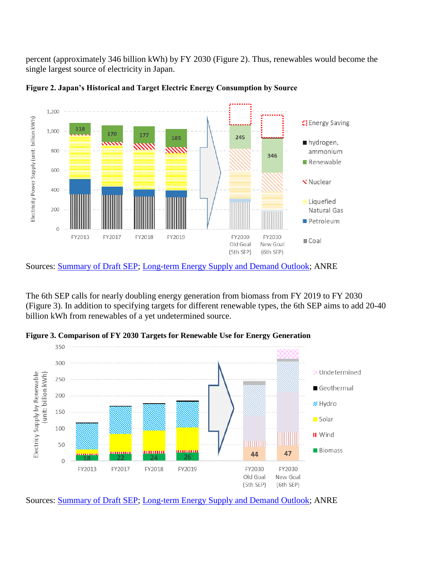percent (approximately 346 billion kWh) by FY 2030 (Figure 2). Thus, renewables would become the single largest source of electricity in Japan.



**Figure 2. Japan's Historical and Target Electric Energy Consumption by Source**

The 6th SEP calls for nearly doubling energy generation from biomass from FY 2019 to FY 2030 (Figure 3). In addition to specifying targets for different renewable types, the 6th SEP aims to add 20-40 billion kWh from renewables of a yet undetermined source.

**Figure 3. Comparison of FY 2030 Targets for Renewable Use for Energy Generation**



Sources: [Summary of Draft SEP;](https://www.enecho.meti.go.jp/committee/council/basic_policy_subcommittee/2021/046/046_004.pdf) [Long-term Energy Supply and Demand Outlook;](https://www.meti.go.jp/english/press/2015/pdf/0716_01a.pdf) ANRE

Sources: [Summary of Draft SEP;](https://www.enecho.meti.go.jp/committee/council/basic_policy_subcommittee/2021/046/046_004.pdf) [Long-term Energy Supply and Demand Outlook;](https://www.meti.go.jp/english/press/2015/pdf/0716_01a.pdf) ANRE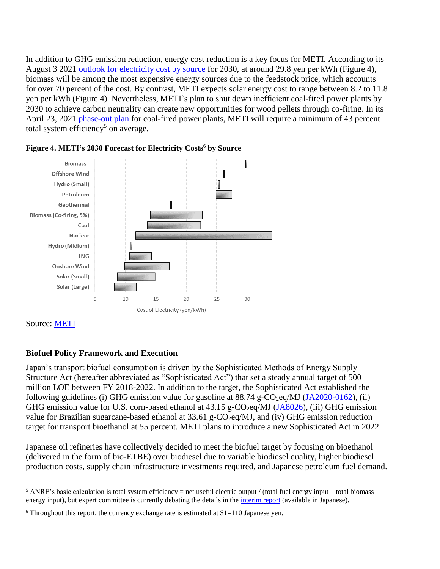In addition to GHG emission reduction, energy cost reduction is a key focus for METI. According to its August 3 2021 [outlook for electricity cost by source](https://www.enecho.meti.go.jp/committee/council/basic_policy_subcommittee/mitoshi/cost_wg/2021/data/08_05.pdf) for 2030, at around 29.8 yen per kWh (Figure 4), biomass will be among the most expensive energy sources due to the feedstock price, which accounts for over 70 percent of the cost. By contrast, METI expects solar energy cost to range between 8.2 to 11.8 yen per kWh (Figure 4). Nevertheless, METI's plan to shut down inefficient coal-fired power plants by 2030 to achieve carbon neutrality can create new opportunities for wood pellets through co-firing. In its April 23, 2021 [phase-out plan](https://www.meti.go.jp/shingikai/enecho/denryoku_gas/denryoku_gas/sekitan_karyoku_wg/20210423_report.html) for coal-fired power plants, METI will require a minimum of 43 percent total system efficiency<sup>5</sup> on average.





Source: [METI](https://www.enecho.meti.go.jp/committee/council/basic_policy_subcommittee/mitoshi/cost_wg/2021/data/08_05.pdf)

# **Biofuel Policy Framework and Execution**

Japan's transport biofuel consumption is driven by the Sophisticated Methods of Energy Supply Structure Act (hereafter abbreviated as "Sophisticated Act") that set a steady annual target of 500 million LOE between FY 2018-2022. In addition to the target, the Sophisticated Act established the following guidelines (i) GHG emission value for gasoline at  $88.74$  g-CO<sub>2</sub>eq/MJ [\(JA2020-0162\)](https://www.fas.usda.gov/data/japan-japan-raises-carbon-intensity-value-gasoline), (ii) GHG emission value for U.S. corn-based ethanol at 43.15 g-CO<sub>2</sub>eq/MJ [\(JA8026\)](http://gain.fas.usda.gov/Recent%20GAIN%20Publications/Japan%20Opens%20Doors%20to%20U.S.%20Ethanol_Tokyo_Japan_4-20-2018.pdf), (iii) GHG emission value for Brazilian sugarcane-based ethanol at 33.61 g-CO<sub>2</sub>eq/MJ, and (iv) GHG emission reduction target for transport bioethanol at 55 percent. METI plans to introduce a new Sophisticated Act in 2022.

Japanese oil refineries have collectively decided to meet the biofuel target by focusing on bioethanol (delivered in the form of bio-ETBE) over biodiesel due to variable biodiesel quality, higher biodiesel production costs, supply chain infrastructure investments required, and Japanese petroleum fuel demand.

 $\overline{\phantom{a}}$ <sup>5</sup> ANRE's basic calculation is total system efficiency = net useful electric output / (total fuel energy input – total biomass energy input), but expert committee is currently debating the details in the [interim report](https://www.meti.go.jp/shingikai/enecho/denryoku_gas/denryoku_gas/sekitan_karyoku_wg/pdf/20210423_2.pdf) (available in Japanese).

 $6$  Throughout this report, the currency exchange rate is estimated at \$1=110 Japanese yen.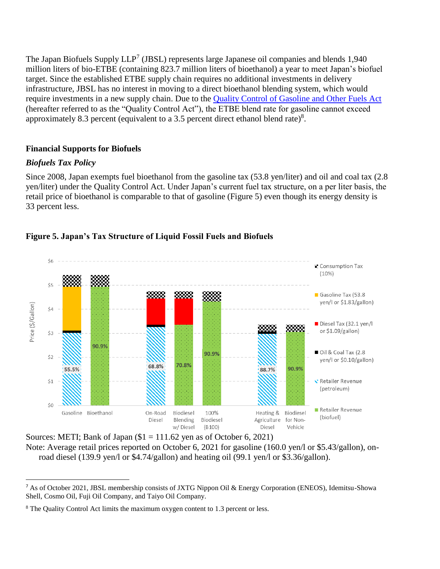The Japan Biofuels Supply LLP<sup>7</sup> (JBSL) represents large Japanese oil companies and blends 1,940 million liters of bio-ETBE (containing 823.7 million liters of bioethanol) a year to meet Japan's biofuel target. Since the established ETBE supply chain requires no additional investments in delivery infrastructure, JBSL has no interest in moving to a direct bioethanol blending system, which would require investments in a new supply chain. Due to the [Quality Control of Gasoline and Other Fuels Act](https://www.enecho.meti.go.jp/category/resources_and_fuel/distribution/hinnkakuhou/) (hereafter referred to as the "Quality Control Act"), the ETBE blend rate for gasoline cannot exceed approximately 8.3 percent (equivalent to a 3.5 percent direct ethanol blend rate) $8$ .

#### **Financial Supports for Biofuels**

#### *Biofuels Tax Policy*

 $\overline{\phantom{a}}$ 

Since 2008, Japan exempts fuel bioethanol from the gasoline tax (53.8 yen/liter) and oil and coal tax (2.8 yen/liter) under the Quality Control Act. Under Japan's current fuel tax structure, on a per liter basis, the retail price of bioethanol is comparable to that of gasoline (Figure 5) even though its energy density is 33 percent less.



## **Figure 5. Japan's Tax Structure of Liquid Fossil Fuels and Biofuels**

Sources: METI; Bank of Japan  $\$1 = 111.62$  yen as of October 6, 2021) Note: Average retail prices reported on October 6, 2021 for gasoline (160.0 yen/l or \$5.43/gallon), onroad diesel (139.9 yen/l or \$4.74/gallon) and heating oil (99.1 yen/l or \$3.36/gallon).

<sup>7</sup> As of October 2021, JBSL membership consists of JXTG Nippon Oil & Energy Corporation (ENEOS), Idemitsu-Showa Shell, Cosmo Oil, Fuji Oil Company, and Taiyo Oil Company.

<sup>8</sup> The Quality Control Act limits the maximum oxygen content to 1.3 percent or less.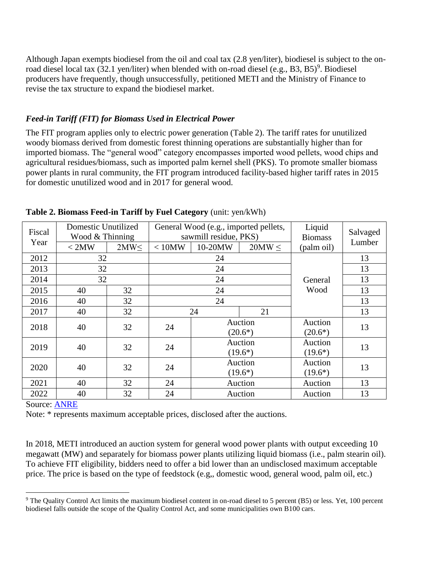Although Japan exempts biodiesel from the oil and coal tax (2.8 yen/liter), biodiesel is subject to the onroad diesel local tax  $(32.1 \text{ yen/liter})$  when blended with on-road diesel  $(e.g., B3, B5)^9$ . Biodiesel producers have frequently, though unsuccessfully, petitioned METI and the Ministry of Finance to revise the tax structure to expand the biodiesel market.

## *Feed-in Tariff (FIT) for Biomass Used in Electrical Power*

The FIT program applies only to electric power generation (Table 2). The tariff rates for unutilized woody biomass derived from domestic forest thinning operations are substantially higher than for imported biomass. The "general wood" category encompasses imported wood pellets, wood chips and agricultural residues/biomass, such as imported palm kernel shell (PKS). To promote smaller biomass power plants in rural community, the FIT program introduced facility-based higher tariff rates in 2015 for domestic unutilized wood and in 2017 for general wood.

| Fiscal<br>Year | Domestic Unutilized<br>Wood & Thinning<br>< 2MW | 2MW<     | < 10MW | General Wood (e.g., imported pellets,<br>sawmill residue, PKS)<br>10-20MW | Liquid<br><b>Biomass</b><br>(palm oil) | Salvaged<br>Lumber   |    |                      |    |
|----------------|-------------------------------------------------|----------|--------|---------------------------------------------------------------------------|----------------------------------------|----------------------|----|----------------------|----|
| 2012           |                                                 | 32<br>24 |        |                                                                           |                                        |                      | 13 |                      |    |
| 2013           | 32                                              |          |        | 24                                                                        |                                        |                      | 13 |                      |    |
| 2014           | 32                                              |          |        | 24                                                                        |                                        | General              | 13 |                      |    |
| 2015           | 40                                              | 32       |        | 24                                                                        | Wood                                   | 13                   |    |                      |    |
| 2016           | 40                                              | 32       |        | 24                                                                        |                                        | 13                   |    |                      |    |
| 2017           | 40                                              | 32       |        | 24                                                                        | 21                                     |                      | 13 |                      |    |
| 2018           | 40                                              | 32       | 24     | Auction<br>$(20.6*)$                                                      |                                        | Auction<br>$(20.6*)$ | 13 |                      |    |
| 2019           | 40                                              | 32       | 24     |                                                                           | Auction<br>$(19.6*)$                   | Auction<br>$(19.6*)$ | 13 |                      |    |
| 2020           | 40                                              | 32       | 24     | Auction<br>$(19.6*)$                                                      |                                        |                      |    | Auction<br>$(19.6*)$ | 13 |
| 2021           | 40                                              | 32       | 24     | Auction                                                                   |                                        | Auction              | 13 |                      |    |
| 2022           | 40                                              | 32       | 24     |                                                                           | Auction                                | Auction              | 13 |                      |    |

**Table 2. Biomass Feed-in Tariff by Fuel Category** (unit: yen/kWh)

Source: [ANRE](https://www.enecho.meti.go.jp/category/saving_and_new/saiene/kaitori/fit_kakaku.html)

 $\overline{a}$ 

Note: \* represents maximum acceptable prices, disclosed after the auctions.

In 2018, METI introduced an auction system for general wood power plants with output exceeding 10 megawatt (MW) and separately for biomass power plants utilizing liquid biomass (i.e., palm stearin oil). To achieve FIT eligibility, bidders need to offer a bid lower than an undisclosed maximum acceptable price. The price is based on the type of feedstock (e.g,, domestic wood, general wood, palm oil, etc.)

<sup>9</sup> The Quality Control Act limits the maximum biodiesel content in on-road diesel to 5 percent (B5) or less. Yet, 100 percent biodiesel falls outside the scope of the Quality Control Act, and some municipalities own B100 cars.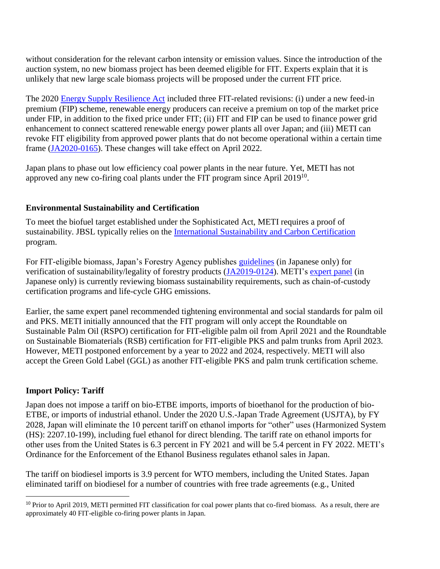without consideration for the relevant carbon intensity or emission values. Since the introduction of the auction system, no new biomass project has been deemed eligible for FIT. Experts explain that it is unlikely that new large scale biomass projects will be proposed under the current FIT price.

The 2020 [Energy Supply Resilience Act](https://www.meti.go.jp/press/2019/02/20200225001/20200225001.html) included three FIT-related revisions: (i) under a new feed-in premium (FIP) scheme, renewable energy producers can receive a premium on top of the market price under FIP, in addition to the fixed price under FIT; (ii) FIT and FIP can be used to finance power grid enhancement to connect scattered renewable energy power plants all over Japan; and (iii) METI can revoke FIT eligibility from approved power plants that do not become operational within a certain time frame [\(JA2020-0165\)](https://www.fas.usda.gov/data/japan-japan-proposes-revise-eligibility-biomass-feed-tariff-program). These changes will take effect on April 2022.

Japan plans to phase out low efficiency coal power plants in the near future. Yet, METI has not approved any new co-firing coal plants under the FIT program since April 2019<sup>10</sup>.

## **Environmental Sustainability and Certification**

To meet the biofuel target established under the Sophisticated Act, METI requires a proof of sustainability. JBSL typically relies on the [International Sustainability and Carbon Certification](https://www.iscc-system.org/) program.

For FIT-eligible biomass, Japan's Forestry Agency publishes [guidelines](https://www.rinya.maff.go.jp/j/riyou/biomass/hatudenriyou_guideline.html) (in Japanese only) for verification of sustainability/legality of forestry products [\(JA2019-0124\)](https://www.fas.usda.gov/data/japan-import-regulations-and-standards-wood-products). METI's [expert panel](https://www.meti.go.jp/shingikai/enecho/shoene_shinene/shin_energy/biomass_sus_wg/index.html) (in Japanese only) is currently reviewing biomass sustainability requirements, such as chain-of-custody certification programs and life-cycle GHG emissions.

Earlier, the same expert panel recommended tightening environmental and social standards for palm oil and PKS. METI initially announced that the FIT program will only accept the Roundtable on Sustainable Palm Oil (RSPO) certification for FIT-eligible palm oil from April 2021 and the Roundtable on Sustainable Biomaterials (RSB) certification for FIT-eligible PKS and palm trunks from April 2023. However, METI postponed enforcement by a year to 2022 and 2024, respectively. METI will also accept the Green Gold Label (GGL) as another FIT-eligible PKS and palm trunk certification scheme.

## **Import Policy: Tariff**

l

Japan does not impose a tariff on bio-ETBE imports, imports of bioethanol for the production of bio-ETBE, or imports of industrial ethanol. Under the 2020 U.S.-Japan Trade Agreement (USJTA), by FY 2028, Japan will eliminate the 10 percent tariff on ethanol imports for "other" uses (Harmonized System (HS): 2207.10-199), including fuel ethanol for direct blending. The tariff rate on ethanol imports for other uses from the United States is 6.3 percent in FY 2021 and will be 5.4 percent in FY 2022. METI's Ordinance for the Enforcement of the Ethanol Business regulates ethanol sales in Japan.

The tariff on biodiesel imports is 3.9 percent for WTO members, including the United States. Japan eliminated tariff on biodiesel for a number of countries with free trade agreements (e.g., United

<sup>&</sup>lt;sup>10</sup> Prior to April 2019, METI permitted FIT classification for coal power plants that co-fired biomass. As a result, there are approximately 40 FIT-eligible co-firing power plants in Japan.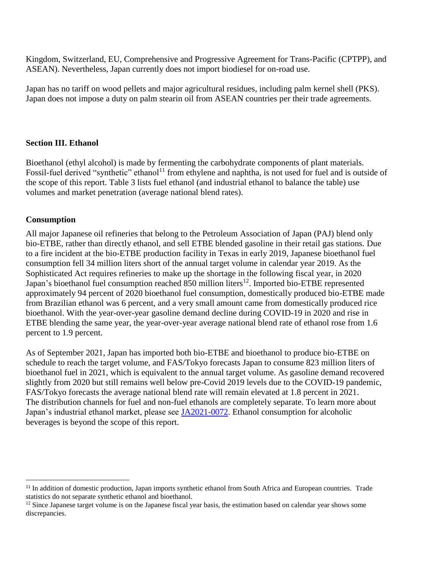Kingdom, Switzerland, EU, Comprehensive and Progressive Agreement for Trans-Pacific (CPTPP), and ASEAN). Nevertheless, Japan currently does not import biodiesel for on-road use.

Japan has no tariff on wood pellets and major agricultural residues, including palm kernel shell (PKS). Japan does not impose a duty on palm stearin oil from ASEAN countries per their trade agreements.

#### **Section III. Ethanol**

Bioethanol (ethyl alcohol) is made by fermenting the carbohydrate components of plant materials. Fossil-fuel derived "synthetic" ethanol<sup>11</sup> from ethylene and naphtha, is not used for fuel and is outside of the scope of this report. Table 3 lists fuel ethanol (and industrial ethanol to balance the table) use volumes and market penetration (average national blend rates).

#### **Consumption**

 $\overline{a}$ 

All major Japanese oil refineries that belong to the Petroleum Association of Japan (PAJ) blend only bio-ETBE, rather than directly ethanol, and sell ETBE blended gasoline in their retail gas stations. Due to a fire incident at the bio-ETBE production facility in Texas in early 2019, Japanese bioethanol fuel consumption fell 34 million liters short of the annual target volume in calendar year 2019. As the Sophisticated Act requires refineries to make up the shortage in the following fiscal year, in 2020 Japan's bioethanol fuel consumption reached 850 million liters<sup>12</sup>. Imported bio-ETBE represented approximately 94 percent of 2020 bioethanol fuel consumption, domestically produced bio-ETBE made from Brazilian ethanol was 6 percent, and a very small amount came from domestically produced rice bioethanol. With the year-over-year gasoline demand decline during COVID-19 in 2020 and rise in ETBE blending the same year, the year-over-year average national blend rate of ethanol rose from 1.6 percent to 1.9 percent.

As of September 2021, Japan has imported both bio-ETBE and bioethanol to produce bio-ETBE on schedule to reach the target volume, and FAS/Tokyo forecasts Japan to consume 823 million liters of bioethanol fuel in 2021, which is equivalent to the annual target volume. As gasoline demand recovered slightly from 2020 but still remains well below pre-Covid 2019 levels due to the COVID-19 pandemic, FAS/Tokyo forecasts the average national blend rate will remain elevated at 1.8 percent in 2021. The distribution channels for fuel and non-fuel ethanols are completely separate. To learn more about Japan's industrial ethanol market, please see [JA2021-0072.](https://www.fas.usda.gov/data/japan-industrial-ethanol-market-japan) Ethanol consumption for alcoholic beverages is beyond the scope of this report.

<sup>&</sup>lt;sup>11</sup> In addition of domestic production, Japan imports synthetic ethanol from South Africa and European countries. Trade statistics do not separate synthetic ethanol and bioethanol.

 $12$  Since Japanese target volume is on the Japanese fiscal year basis, the estimation based on calendar year shows some discrepancies.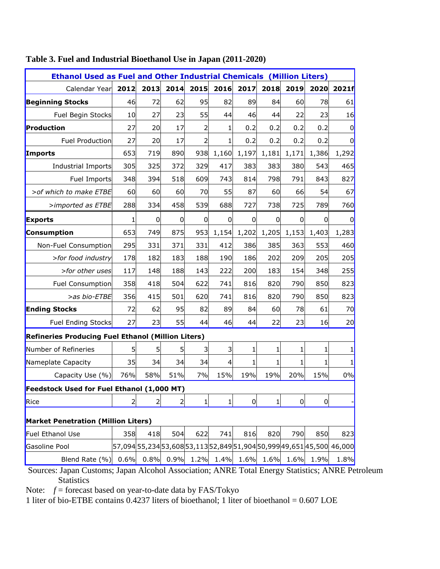| <b>Ethanol Used as Fuel and Other Industrial Chemicals (Million Liters)</b> |      |                |      |      |       |                |                |                |                |                                                                       |  |
|-----------------------------------------------------------------------------|------|----------------|------|------|-------|----------------|----------------|----------------|----------------|-----------------------------------------------------------------------|--|
| Calendar Year                                                               | 2012 | 2013           | 2014 | 2015 | 2016  | 2017           | 2018           | 2019           | 2020           | 2021f                                                                 |  |
| <b>Beginning Stocks</b>                                                     | 46   | 72             | 62   | 95   | 82    | 89             | 84             | 60             | 78             | 61                                                                    |  |
| Fuel Begin Stocks                                                           | 10   | 27             | 23   | 55   | 44    | 46             | 44             | 22             | 23             | 16                                                                    |  |
| Production                                                                  | 27   | 20             | 17   | 2    | 1     | 0.2            | 0.2            | 0.2            | 0.2            | $\mathbf 0$                                                           |  |
| Fuel Production                                                             | 27   | 20             | 17   | 2    | 1     | 0.2            | 0.2            | 0.2            | 0.2            | $\overline{0}$                                                        |  |
| Imports                                                                     | 653  | 719            | 890  | 938  | 1,160 | 1,197          | 1,181          | 1,171          | 1,386          | 1,292                                                                 |  |
| <b>Industrial Imports</b>                                                   | 305  | 325            | 372  | 329  | 417   | 383            | 383            | 380            | 543            | 465                                                                   |  |
| Fuel Imports                                                                | 348  | 394            | 518  | 609  | 743   | 814            | 798            | 791            | 843            | 827                                                                   |  |
| > of which to make ETBE                                                     | 60   | 60             | 60   | 70   | 55    | 87             | 60             | 66             | 54             | 67                                                                    |  |
| >imported as ETBE                                                           | 288  | 334            | 458  | 539  | 688   | 727            | 738            | 725            | 789            | 760                                                                   |  |
| <b>Exports</b>                                                              | 1    | $\overline{0}$ | 0    | 0    | 0     | $\Omega$       | $\overline{0}$ | $\mathbf 0$    | 0              | $\mathbf 0$                                                           |  |
| <b>Consumption</b>                                                          | 653  | 749            | 875  | 953  | 1,154 | 1,202          | 1,205          | 1,153          | 1,403          | 1,283                                                                 |  |
| Non-Fuel Consumption                                                        | 295  | 331            | 371  | 331  | 412   | 386            | 385            | 363            | 553            | 460                                                                   |  |
| >for food industry                                                          | 178  | 182            | 183  | 188  | 190   | 186            | 202            | 209            | 205            | 205                                                                   |  |
| >for other uses                                                             | 117  | 148            | 188  | 143  | 222   | 200            | 183            | 154            | 348            | 255                                                                   |  |
| <b>Fuel Consumption</b>                                                     | 358  | 418            | 504  | 622  | 741   | 816            | 820            | 790            | 850            | 823                                                                   |  |
| >as bio-ETBE                                                                | 356  | 415            | 501  | 620  | 741   | 816            | 820            | 790            | 850            | 823                                                                   |  |
| <b>Ending Stocks</b>                                                        | 72   | 62             | 95   | 82   | 89    | 84             | 60             | 78             | 61             | 70                                                                    |  |
| <b>Fuel Ending Stocks</b>                                                   | 27   | 23             | 55   | 44   | 46    | 44             | 22             | 23             | 16             | 20                                                                    |  |
| Refineries Producing Fuel Ethanol (Million Liters)                          |      |                |      |      |       |                |                |                |                |                                                                       |  |
| Number of Refineries                                                        | 5    | 5              | 5    | 3    | 3     | 1              | 1              | 1              | 1              |                                                                       |  |
| Nameplate Capacity                                                          | 35   | 34             | 34   | 34   | 4     | 1              | 1              | 1              | $\mathbf{1}$   | 1                                                                     |  |
| Capacity Use (%)                                                            | 76%  | 58%            | 51%  | 7%   | 15%   | 19%            | 19%            | 20%            | 15%            | 0%                                                                    |  |
| Feedstock Used for Fuel Ethanol (1,000 MT)                                  |      |                |      |      |       |                |                |                |                |                                                                       |  |
| Rice                                                                        | 2    | $\overline{2}$ | 2    | 1    | 1     | $\overline{0}$ | 1              | $\overline{0}$ | $\overline{0}$ |                                                                       |  |
| <b>Market Penetration (Million Liters)</b>                                  |      |                |      |      |       |                |                |                |                |                                                                       |  |
| Fuel Ethanol Use                                                            | 358  | 418            | 504  | 622  | 741   | 816            | 820            | 790            | 850            | 823                                                                   |  |
| Gasoline Pool                                                               |      |                |      |      |       |                |                |                |                | 57,094 55,234 53,608 53,113 52,849 51,904 50,999 49,651 45,500 46,000 |  |
| Blend Rate (%)                                                              | 0.6% | 0.8%           | 0.9% | 1.2% | 1.4%  | 1.6%           | 1.6%           | 1.6%           | 1.9%           | 1.8%                                                                  |  |

# **Table 3. Fuel and Industrial Bioethanol Use in Japan (2011-2020)**

Sources: Japan Customs; Japan Alcohol Association; ANRE Total Energy Statistics; ANRE Petroleum **Statistics** 

Note: *f* = forecast based on year-to-date data by FAS/Tokyo

1 liter of bio-ETBE contains 0.4237 liters of bioethanol; 1 liter of bioethanol = 0.607 LOE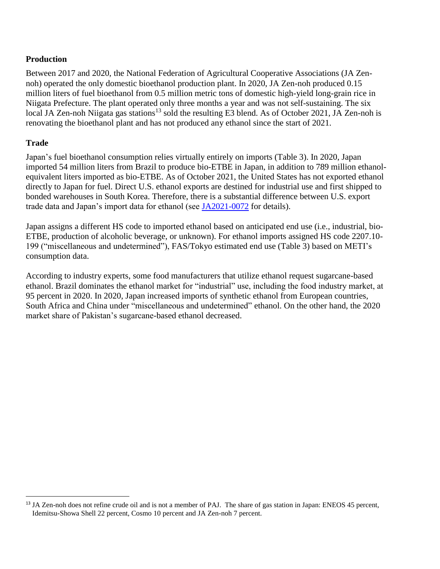# **Production**

Between 2017 and 2020, the National Federation of Agricultural Cooperative Associations (JA Zennoh) operated the only domestic bioethanol production plant. In 2020, JA Zen-noh produced 0.15 million liters of fuel bioethanol from 0.5 million metric tons of domestic high-yield long-grain rice in Niigata Prefecture. The plant operated only three months a year and was not self-sustaining. The six local JA Zen-noh Niigata gas stations<sup>13</sup> sold the resulting E3 blend. As of October 2021, JA Zen-noh is renovating the bioethanol plant and has not produced any ethanol since the start of 2021.

# **Trade**

Japan's fuel bioethanol consumption relies virtually entirely on imports (Table 3). In 2020, Japan imported 54 million liters from Brazil to produce bio-ETBE in Japan, in addition to 789 million ethanolequivalent liters imported as bio-ETBE. As of October 2021, the United States has not exported ethanol directly to Japan for fuel. Direct U.S. ethanol exports are destined for industrial use and first shipped to bonded warehouses in South Korea. Therefore, there is a substantial difference between U.S. export trade data and Japan's import data for ethanol (see [JA2021-0072](https://www.fas.usda.gov/data/japan-industrial-ethanol-market-japan) for details).

Japan assigns a different HS code to imported ethanol based on anticipated end use (i.e., industrial, bio-ETBE, production of alcoholic beverage, or unknown). For ethanol imports assigned HS code 2207.10- 199 ("miscellaneous and undetermined"), FAS/Tokyo estimated end use (Table 3) based on METI's consumption data.

According to industry experts, some food manufacturers that utilize ethanol request sugarcane-based ethanol. Brazil dominates the ethanol market for "industrial" use, including the food industry market, at 95 percent in 2020. In 2020, Japan increased imports of synthetic ethanol from European countries, South Africa and China under "miscellaneous and undetermined" ethanol. On the other hand, the 2020 market share of Pakistan's sugarcane-based ethanol decreased.

l <sup>13</sup> JA Zen-noh does not refine crude oil and is not a member of PAJ. The share of gas station in Japan: ENEOS 45 percent, Idemitsu-Showa Shell 22 percent, Cosmo 10 percent and JA Zen-noh 7 percent.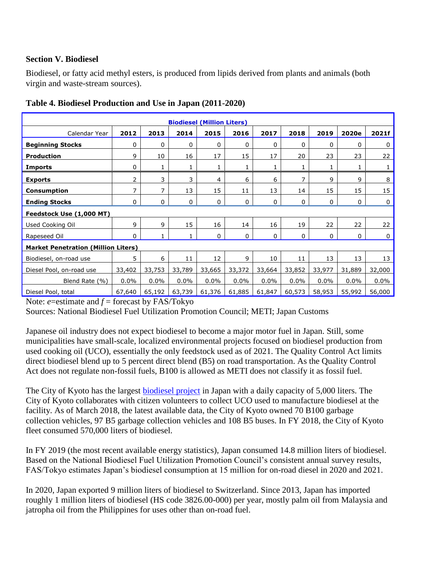## **Section V. Biodiesel**

Biodiesel, or fatty acid methyl esters, is produced from lipids derived from plants and animals (both virgin and waste-stream sources).

| <b>Biodiesel (Million Liters)</b>          |        |              |             |        |             |         |        |         |             |         |  |
|--------------------------------------------|--------|--------------|-------------|--------|-------------|---------|--------|---------|-------------|---------|--|
| Calendar Year                              | 2012   | 2013         | 2014        | 2015   | 2016        | 2017    | 2018   | 2019    | 2020e       | 2021f   |  |
| <b>Beginning Stocks</b>                    | 0      | 0            | 0           | 0      | 0           | 0       | 0      | 0       | 0           | 0       |  |
| <b>Production</b>                          | 9      | 10           | 16          | 17     | 15          | 17      | 20     | 23      | 23          | 22      |  |
| <b>Imports</b>                             | 0      | 1            | 1           |        |             |         | 1      | 1       | 1           | 1       |  |
| <b>Exports</b>                             | 2      | 3            | 3           | 4      | 6           | 6       | 7      | 9       | 9           | 8       |  |
| <b>Consumption</b>                         | 7      | 7            | 13          | 15     | 11          | 13      | 14     | 15      | 15          | 15      |  |
| <b>Ending Stocks</b>                       | 0      | 0            | $\mathbf 0$ | 0      | $\mathbf 0$ | 0       | 0      | 0       | $\mathbf 0$ | 0       |  |
| Feedstock Use (1,000 MT)                   |        |              |             |        |             |         |        |         |             |         |  |
| Used Cooking Oil                           | 9      | 9            | 15          | 16     | 14          | 16      | 19     | 22      | 22          | 22      |  |
| Rapeseed Oil                               | 0      | $\mathbf{1}$ |             | 0      | $\mathbf 0$ | 0       | 0      | 0       | 0           | 0       |  |
| <b>Market Penetration (Million Liters)</b> |        |              |             |        |             |         |        |         |             |         |  |
| Biodiesel, on-road use                     | 5      | 6            | 11          | 12     | 9           | 10      | 11     | 13      | 13          | 13      |  |
| Diesel Pool, on-road use                   | 33,402 | 33,753       | 33,789      | 33,665 | 33,372      | 33,664  | 33,852 | 33,977  | 31,889      | 32,000  |  |
| Blend Rate (%)                             | 0.0%   | $0.0\%$      | 0.0%        | 0.0%   | $0.0\%$     | $0.0\%$ | 0.0%   | $0.0\%$ | $0.0\%$     | $0.0\%$ |  |
| Diesel Pool, total                         | 67,640 | 65,192       | 63,739      | 61,376 | 61,885      | 61,847  | 60,573 | 58,953  | 55,992      | 56,000  |  |

#### **Table 4. Biodiesel Production and Use in Japan (2011-2020)**

Note: *e*=estimate and *f* = forecast by FAS/Tokyo

Sources: National Biodiesel Fuel Utilization Promotion Council; METI; Japan Customs

Japanese oil industry does not expect biodiesel to become a major motor fuel in Japan. Still, some municipalities have small-scale, localized environmental projects focused on biodiesel production from used cooking oil (UCO), essentially the only feedstock used as of 2021. The Quality Control Act limits direct biodiesel blend up to 5 percent direct blend (B5) on road transportation. As the Quality Control Act does not regulate non-fossil fuels, B100 is allowed as METI does not classify it as fossil fuel.

The City of Kyoto has the largest **biodiesel project** in Japan with a daily capacity of 5,000 liters. The City of Kyoto collaborates with citizen volunteers to collect UCO used to manufacture biodiesel at the facility. As of March 2018, the latest available data, the City of Kyoto owned 70 B100 garbage collection vehicles, 97 B5 garbage collection vehicles and 108 B5 buses. In FY 2018, the City of Kyoto fleet consumed 570,000 liters of biodiesel.

In FY 2019 (the most recent available energy statistics), Japan consumed 14.8 million liters of biodiesel. Based on the National Biodiesel Fuel Utilization Promotion Council's consistent annual survey results, FAS/Tokyo estimates Japan's biodiesel consumption at 15 million for on-road diesel in 2020 and 2021.

In 2020, Japan exported 9 million liters of biodiesel to Switzerland. Since 2013, Japan has imported roughly 1 million liters of biodiesel (HS code 3826.00-000) per year, mostly palm oil from Malaysia and jatropha oil from the Philippines for uses other than on-road fuel.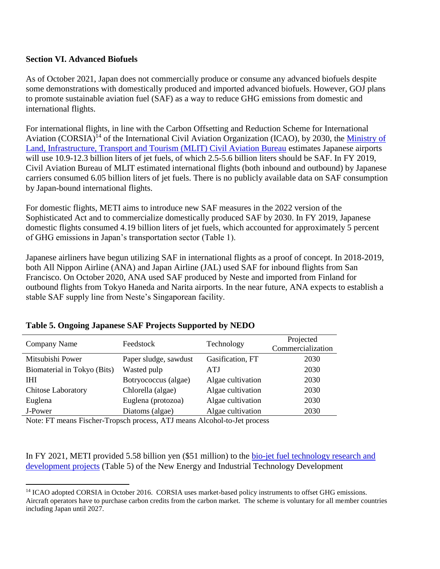## **Section VI. Advanced Biofuels**

As of October 2021, Japan does not commercially produce or consume any advanced biofuels despite some demonstrations with domestically produced and imported advanced biofuels. However, GOJ plans to promote sustainable aviation fuel (SAF) as a way to reduce GHG emissions from domestic and international flights.

For international flights, in line with the Carbon Offsetting and Reduction Scheme for International Aviation (CORSIA)<sup>14</sup> of the International Civil Aviation Organization (ICAO), by 2030, the Ministry of [Land, Infrastructure, Transport and Tourism \(MLIT\) Civil Aviation Bureau](https://www.mlit.go.jp/common/001407977.pdf) estimates Japanese airports will use 10.9-12.3 billion liters of jet fuels, of which 2.5-5.6 billion liters should be SAF. In FY 2019, Civil Aviation Bureau of MLIT estimated international flights (both inbound and outbound) by Japanese carriers consumed 6.05 billion liters of jet fuels. There is no publicly available data on SAF consumption by Japan-bound international flights.

For domestic flights, METI aims to introduce new SAF measures in the 2022 version of the Sophisticated Act and to commercialize domestically produced SAF by 2030. In FY 2019, Japanese domestic flights consumed 4.19 billion liters of jet fuels, which accounted for approximately 5 percent of GHG emissions in Japan's transportation sector (Table 1).

Japanese airliners have begun utilizing SAF in international flights as a proof of concept. In 2018-2019, both All Nippon Airline (ANA) and Japan Airline (JAL) used SAF for inbound flights from San Francisco. On October 2020, ANA used SAF produced by Neste and imported from Finland for outbound flights from Tokyo Haneda and Narita airports. In the near future, ANA expects to establish a stable SAF supply line from Neste's Singaporean facility.

| Company Name                | Feedstock             | Technology        | Projected<br>Commercialization |
|-----------------------------|-----------------------|-------------------|--------------------------------|
| Mitsubishi Power            | Paper sludge, sawdust | Gasification, FT  | 2030                           |
| Biomaterial in Tokyo (Bits) | Wasted pulp           | <b>ATJ</b>        | 2030                           |
| <b>THI</b>                  | Botryococcus (algae)  | Algae cultivation | 2030                           |
| <b>Chitose Laboratory</b>   | Chlorella (algae)     | Algae cultivation | 2030                           |
| Euglena                     | Euglena (protozoa)    | Algae cultivation | 2030                           |
| J-Power                     | Diatoms (algae)       | Algae cultivation | 2030                           |
|                             |                       |                   |                                |

#### **Table 5. Ongoing Japanese SAF Projects Supported by NEDO**

Note: FT means Fischer-Tropsch process, ATJ means Alcohol-to-Jet process

 $\overline{\phantom{a}}$ 

In FY 2021, METI provided 5.58 billion yen (\$51 million) to the [bio-jet fuel technology research and](https://www.nedo.go.jp/activities/ZZJP_100127.html)  [development projects](https://www.nedo.go.jp/activities/ZZJP_100127.html) (Table 5) of the New Energy and Industrial Technology Development

<sup>&</sup>lt;sup>14</sup> ICAO adopted CORSIA in October 2016. CORSIA uses market-based policy instruments to offset GHG emissions. Aircraft operators have to purchase carbon credits from the carbon market. The scheme is voluntary for all member countries including Japan until 2027.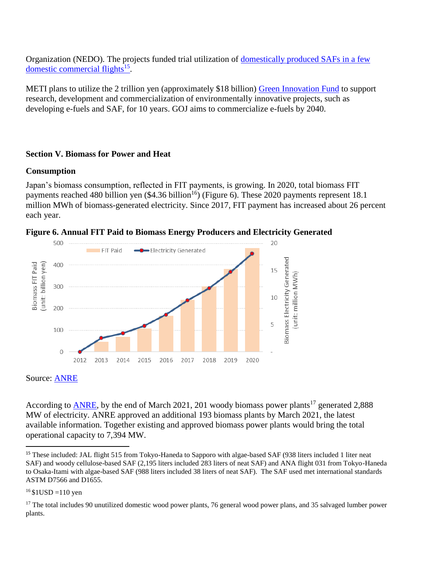Organization (NEDO). The projects funded trial utilization of [domestically produced SAFs in a few](https://www.nedo.go.jp/english/news/AA5en_100437.html)  [domestic commercial flights](https://www.nedo.go.jp/english/news/AA5en_100437.html)<sup>15</sup> .

METI plans to utilize the 2 trillion yen (approximately \$18 billion) [Green Innovation Fund](https://www.meti.go.jp/press/2020/03/20210312003/20210312003-1.pdf) to support research, development and commercialization of environmentally innovative projects, such as developing e-fuels and SAF, for 10 years. GOJ aims to commercialize e-fuels by 2040.

#### **Section V. Biomass for Power and Heat**

#### **Consumption**

Japan's biomass consumption, reflected in FIT payments, is growing. In 2020, total biomass FIT payments reached 480 billion yen  $(\$4.36 \text{ billion}^{16})$  (Figure 6). These 2020 payments represent 18.1 million MWh of biomass-generated electricity. Since 2017, FIT payment has increased about 26 percent each year.



**Figure 6. Annual FIT Paid to Biomass Energy Producers and Electricity Generated**

Source: [ANRE](https://www.fit-portal.go.jp/PublicInfoSummary)

According to [ANRE,](https://www.fit-portal.go.jp/PublicInfoSummary) by the end of March 2021, 201 woody biomass power plants<sup>17</sup> generated 2,888 MW of electricity. ANRE approved an additional 193 biomass plants by March 2021, the latest available information. Together existing and approved biomass power plants would bring the total operational capacity to 7,394 MW.

 $16$  \$1USD =110 yen

 $\overline{\phantom{a}}$ 

<sup>&</sup>lt;sup>15</sup> These included: JAL flight 515 from Tokyo-Haneda to Sapporo with algae-based SAF (938 liters included 1 liter neat SAF) and woody cellulose-based SAF (2,195 liters included 283 liters of neat SAF) and ANA flight 031 from Tokyo-Haneda to Osaka-Itami with algae-based SAF (988 liters included 38 liters of neat SAF). The SAF used met international standards ASTM D7566 and D1655.

<sup>&</sup>lt;sup>17</sup> The total includes 90 unutilized domestic wood power plants, 76 general wood power plans, and 35 salvaged lumber power plants.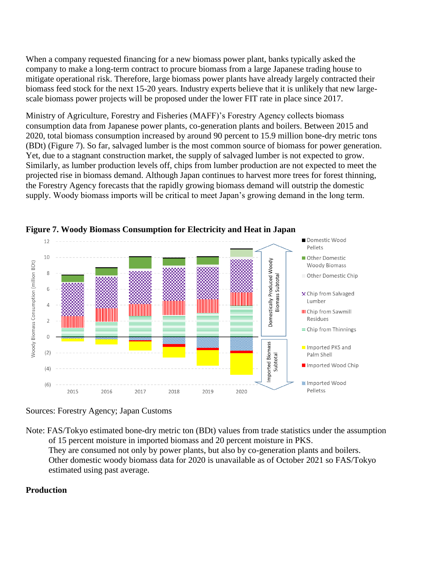When a company requested financing for a new biomass power plant, banks typically asked the company to make a long-term contract to procure biomass from a large Japanese trading house to mitigate operational risk. Therefore, large biomass power plants have already largely contracted their biomass feed stock for the next 15-20 years. Industry experts believe that it is unlikely that new largescale biomass power projects will be proposed under the lower FIT rate in place since 2017.

Ministry of Agriculture, Forestry and Fisheries (MAFF)'s Forestry Agency collects biomass consumption data from Japanese power plants, co-generation plants and boilers. Between 2015 and 2020, total biomass consumption increased by around 90 percent to 15.9 million bone-dry metric tons (BDt) (Figure 7). So far, salvaged lumber is the most common source of biomass for power generation. Yet, due to a stagnant construction market, the supply of salvaged lumber is not expected to grow. Similarly, as lumber production levels off, chips from lumber production are not expected to meet the projected rise in biomass demand. Although Japan continues to harvest more trees for forest thinning, the Forestry Agency forecasts that the rapidly growing biomass demand will outstrip the domestic supply. Woody biomass imports will be critical to meet Japan's growing demand in the long term.



**Figure 7. Woody Biomass Consumption for Electricity and Heat in Japan**

Note: FAS/Tokyo estimated bone-dry metric ton (BDt) values from trade statistics under the assumption of 15 percent moisture in imported biomass and 20 percent moisture in PKS. They are consumed not only by power plants, but also by co-generation plants and boilers. Other domestic woody biomass data for 2020 is unavailable as of October 2021 so FAS/Tokyo estimated using past average.

## **Production**

Sources: Forestry Agency; Japan Customs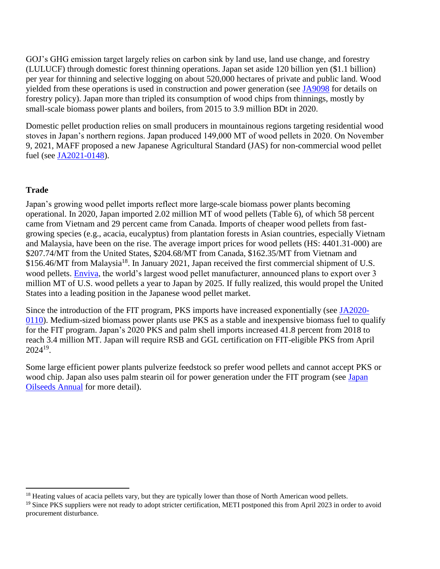GOJ's GHG emission target largely relies on carbon sink by land use, land use change, and forestry (LULUCF) through domestic forest thinning operations. Japan set aside 120 billion yen (\$1.1 billion) per year for thinning and selective logging on about 520,000 hectares of private and public land. Wood yielded from these operations is used in construction and power generation (see [JA9098](https://www.fas.usda.gov/data/japan-japanese-new-forest-management-system-increase-log-production) for details on forestry policy). Japan more than tripled its consumption of wood chips from thinnings, mostly by small-scale biomass power plants and boilers, from 2015 to 3.9 million BDt in 2020.

Domestic pellet production relies on small producers in mountainous regions targeting residential wood stoves in Japan's northern regions. Japan produced 149,000 MT of wood pellets in 2020. On November 9, 2021, MAFF proposed a new Japanese Agricultural Standard (JAS) for non-commercial wood pellet fuel (see [JA2021-0148\)](https://www.fas.usda.gov/data/japan-japan-proposes-new-jas-standards-wood-pellets-non-industrial-use).

#### **Trade**

Japan's growing wood pellet imports reflect more large-scale biomass power plants becoming operational. In 2020, Japan imported 2.02 million MT of wood pellets (Table 6), of which 58 percent came from Vietnam and 29 percent came from Canada. Imports of cheaper wood pellets from fastgrowing species (e.g., acacia, eucalyptus) from plantation forests in Asian countries, especially Vietnam and Malaysia, have been on the rise. The average import prices for wood pellets (HS: 4401.31-000) are \$207.74/MT from the United States, \$204.68/MT from Canada, \$162.35/MT from Vietnam and \$156.46/MT from Malaysia<sup>18</sup>. In January 2021, Japan received the first commercial shipment of U.S. wood pellets. [Enviva,](https://s28.q4cdn.com/898203682/files/doc_presentation/2021/08/18/EVA-Investor-Presentation-August-17-2021-FINAL.pdf) the world's largest wood pellet manufacturer, announced plans to export over 3 million MT of U.S. wood pellets a year to Japan by 2025. If fully realized, this would propel the United States into a leading position in the Japanese wood pellet market.

Since the introduction of the FIT program, PKS imports have increased exponentially (see [JA2020-](https://www.fas.usda.gov/data/japan-clarifying-japanese-imports-palm-kernel-residues) [0110\)](https://www.fas.usda.gov/data/japan-clarifying-japanese-imports-palm-kernel-residues). Medium-sized biomass power plants use PKS as a stable and inexpensive biomass fuel to qualify for the FIT program. Japan's 2020 PKS and palm shell imports increased 41.8 percent from 2018 to reach 3.4 million MT. Japan will require RSB and GGL certification on FIT-eligible PKS from April  $2024^{19}$ .

Some large efficient power plants pulverize feedstock so prefer wood pellets and cannot accept PKS or wood chip. [Japan](https://www.fas.usda.gov/data/japan-oilseeds-and-products-annual-5) also uses palm stearin oil for power generation under the FIT program (see Japan [Oilseeds](https://www.fas.usda.gov/data/japan-oilseeds-and-products-annual-5) Annual for more detail).

 $\overline{\phantom{a}}$ <sup>18</sup> Heating values of acacia pellets vary, but they are typically lower than those of North American wood pellets.

<sup>&</sup>lt;sup>19</sup> Since PKS suppliers were not ready to adopt stricter certification, METI postponed this from April 2023 in order to avoid procurement disturbance.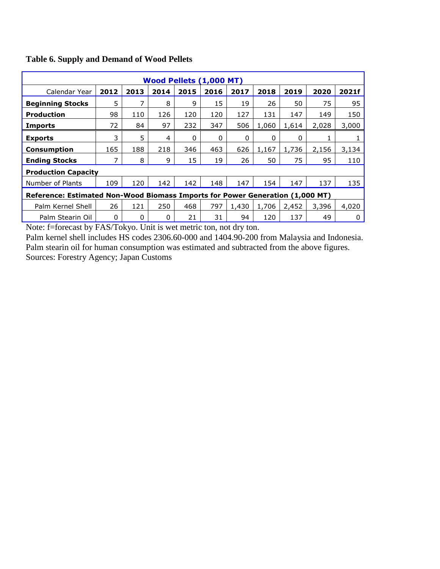| Wood Pellets (1,000 MT)                                                       |      |      |      |      |      |       |       |       |       |       |  |
|-------------------------------------------------------------------------------|------|------|------|------|------|-------|-------|-------|-------|-------|--|
| Calendar Year                                                                 | 2012 | 2013 | 2014 | 2015 | 2016 | 2017  | 2018  | 2019  | 2020  | 2021f |  |
| <b>Beginning Stocks</b>                                                       | 5    | 7    | 8    | 9    | 15   | 19    | 26    | 50    | 75    | 95    |  |
| <b>Production</b>                                                             | 98   | 110  | 126  | 120  | 120  | 127   | 131   | 147   | 149   | 150   |  |
| <b>Imports</b>                                                                | 72   | 84   | 97   | 232  | 347  | 506   | 1,060 | 1,614 | 2,028 | 3,000 |  |
| <b>Exports</b>                                                                | 3    | 5    | 4    | 0    | 0    | 0     | 0     | 0     |       |       |  |
| <b>Consumption</b>                                                            | 165  | 188  | 218  | 346  | 463  | 626   | 1,167 | 1,736 | 2,156 | 3,134 |  |
| <b>Ending Stocks</b>                                                          | 7    | 8    | 9    | 15   | 19   | 26    | 50    | 75    | 95    | 110   |  |
| <b>Production Capacity</b>                                                    |      |      |      |      |      |       |       |       |       |       |  |
| Number of Plants                                                              | 109  | 120  | 142  | 142  | 148  | 147   | 154   | 147   | 137   | 135   |  |
| Reference: Estimated Non-Wood Biomass Imports for Power Generation (1,000 MT) |      |      |      |      |      |       |       |       |       |       |  |
| Palm Kernel Shell                                                             | 26   | 121  | 250  | 468  | 797  | 1,430 | 1,706 | 2,452 | 3,396 | 4,020 |  |
| Palm Stearin Oil                                                              | 0    | 0    | 0    | 21   | 31   | 94    | 120   | 137   | 49    | 0     |  |

#### **Table 6. Supply and Demand of Wood Pellets**

Note: f=forecast by FAS/Tokyo. Unit is wet metric ton, not dry ton.

Palm kernel shell includes HS codes 2306.60-000 and 1404.90-200 from Malaysia and Indonesia. Palm stearin oil for human consumption was estimated and subtracted from the above figures. Sources: Forestry Agency; Japan Customs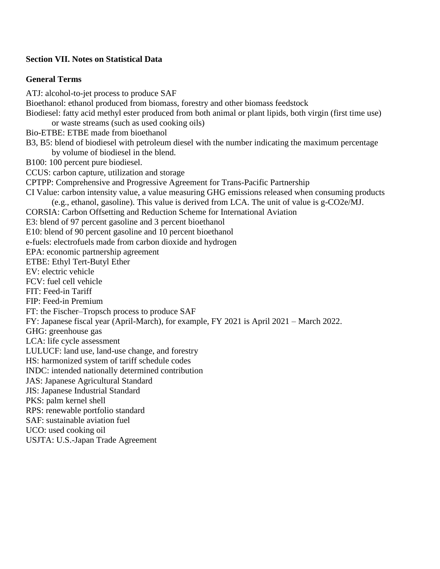#### **Section VII. Notes on Statistical Data**

#### **General Terms**

ATJ: alcohol-to-jet process to produce SAF Bioethanol: ethanol produced from biomass, forestry and other biomass feedstock Biodiesel: fatty acid methyl ester produced from both animal or plant lipids, both virgin (first time use) or waste streams (such as used cooking oils) Bio-ETBE: ETBE made from bioethanol B3, B5: blend of biodiesel with petroleum diesel with the number indicating the maximum percentage by volume of biodiesel in the blend. B100: 100 percent pure biodiesel. CCUS: carbon capture, utilization and storage CPTPP: Comprehensive and Progressive Agreement for Trans-Pacific Partnership CI Value: carbon intensity value, a value measuring GHG emissions released when consuming products (e.g., ethanol, gasoline). This value is derived from LCA. The unit of value is g-CO2e/MJ. CORSIA: Carbon Offsetting and Reduction Scheme for International Aviation E3: blend of 97 percent gasoline and 3 percent bioethanol E10: blend of 90 percent gasoline and 10 percent bioethanol e-fuels: electrofuels made from carbon dioxide and hydrogen EPA: economic partnership agreement ETBE: Ethyl Tert-Butyl Ether EV: electric vehicle FCV: fuel cell vehicle FIT: Feed-in Tariff FIP: Feed-in Premium FT: the Fischer–Tropsch process to produce SAF FY: Japanese fiscal year (April-March), for example, FY 2021 is April 2021 – March 2022. GHG: greenhouse gas LCA: life cycle assessment LULUCF: land use, land-use change, and forestry HS: harmonized system of tariff schedule codes INDC: intended nationally determined contribution JAS: Japanese Agricultural Standard JIS: Japanese Industrial Standard PKS: palm kernel shell RPS: renewable portfolio standard SAF: sustainable aviation fuel UCO: used cooking oil USJTA: U.S.-Japan Trade Agreement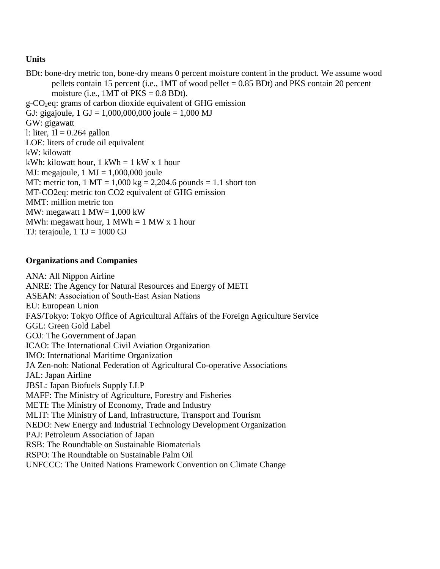# **Units**

BDt: bone-dry metric ton, bone-dry means 0 percent moisture content in the product. We assume wood pellets contain 15 percent (i.e.,  $1MT$  of wood pellet = 0.85 BDt) and PKS contain 20 percent moisture (i.e.,  $1MT$  of  $PKS = 0.8$  BDt).  $g$ -CO<sub>2</sub>eq: grams of carbon dioxide equivalent of GHG emission GJ: gigajoule,  $1 \text{ GJ} = 1,000,000,000$  joule = 1,000 MJ GW: gigawatt l: liter,  $1l = 0.264$  gallon LOE: liters of crude oil equivalent kW: kilowatt kWh: kilowatt hour,  $1$  kWh =  $1$  kW x 1 hour MJ: megajoule,  $1 \text{ MJ} = 1,000,000$  joule MT: metric ton,  $1 \text{ MT} = 1,000 \text{ kg} = 2,204.6 \text{ pounds} = 1.1 \text{ short ton}$ MT-CO2eq: metric ton CO2 equivalent of GHG emission MMT: million metric ton MW: megawatt 1 MW=  $1,000$  kW MWh: megawatt hour,  $1 \text{ MWh} = 1 \text{ MW} \times 1 \text{ hour}$ TJ: terajoule,  $1 \text{ TJ} = 1000 \text{ GJ}$ 

# **Organizations and Companies**

ANA: All Nippon Airline ANRE: The Agency for Natural Resources and Energy of METI ASEAN: Association of South‐East Asian Nations EU: European Union FAS/Tokyo: Tokyo Office of Agricultural Affairs of the Foreign Agriculture Service GGL: Green Gold Label GOJ: The Government of Japan ICAO: The International Civil Aviation Organization IMO: International Maritime Organization JA Zen-noh: National Federation of Agricultural Co-operative Associations JAL: Japan Airline JBSL: Japan Biofuels Supply LLP MAFF: The Ministry of Agriculture, Forestry and Fisheries METI: The Ministry of Economy, Trade and Industry MLIT: The Ministry of Land, Infrastructure, Transport and Tourism NEDO: New Energy and Industrial Technology Development Organization PAJ: Petroleum Association of Japan RSB: The Roundtable on Sustainable Biomaterials RSPO: The Roundtable on Sustainable Palm Oil UNFCCC: The United Nations Framework Convention on Climate Change